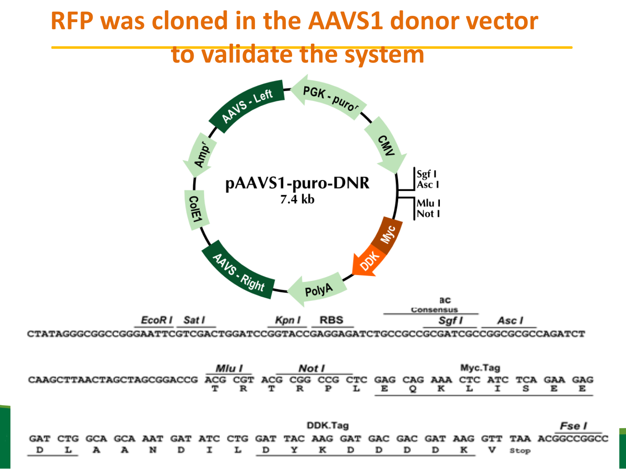### **RFP was cloned in the AAVS1 donor vector**

### **to validate the system**

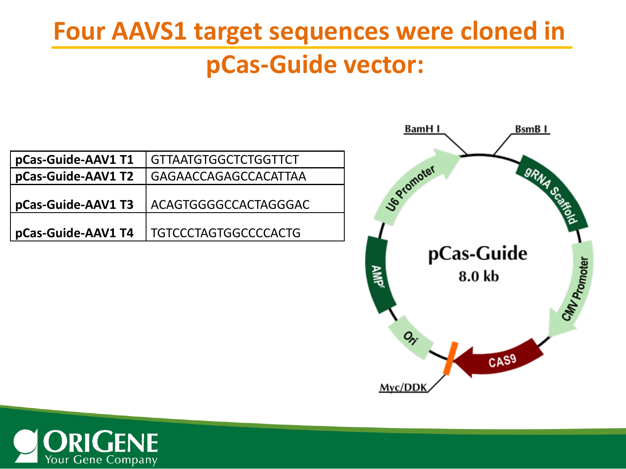# **Four AAVS1 target sequences were cloned in**

### **pCas-Guide vector:**

| pCas-Guide-AAV1 T1 | <b>GTTAATGTGGCTCTGGTTCT</b> |
|--------------------|-----------------------------|
| pCas-Guide-AAV1 T2 | GAGAACCAGAGCCACATTAA        |
| pCas-Guide-AAV1 T3 | ACAGTGGGGCCACTAGGGAC        |
| pCas-Guide-AAV1 T4 | <b>TGTCCCTAGTGGCCCCACTG</b> |



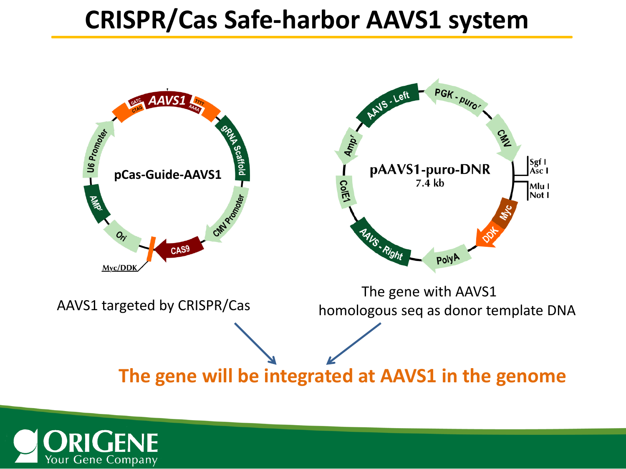### **CRISPR/Cas Safe-harbor AAVS1 system**



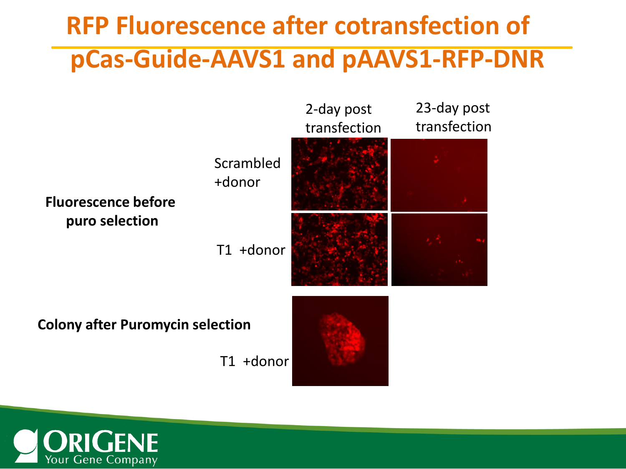## **RFP Fluorescence after cotransfection of pCas-Guide-AAVS1 and pAAVS1-RFP-DNR**



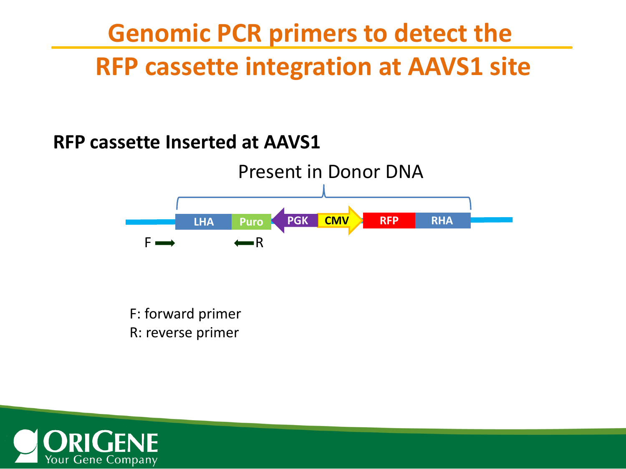## **Genomic PCR primers to detect the RFP cassette integration at AAVS1 site**

#### **RFP cassette Inserted at AAVS1**



F: forward primer R: reverse primer

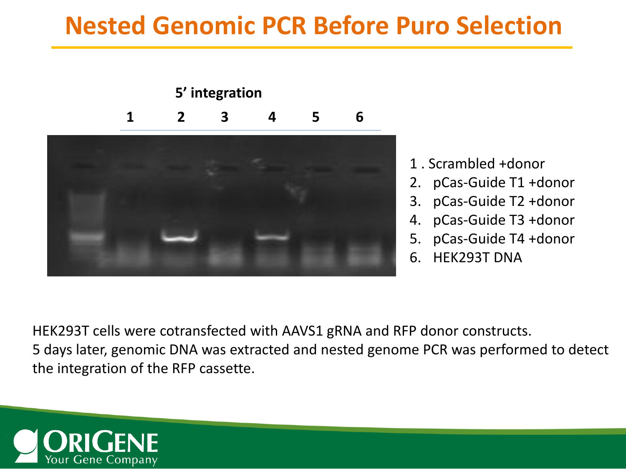### **Nested Genomic PCR Before Puro Selection**



- 1 . Scrambled +donor
- 2. pCas-Guide T1 +donor
- 3. pCas-Guide T2 +donor
- 4. pCas-Guide T3 +donor
- 5. pCas-Guide T4 +donor
- 6. HEK293T DNA

HEK293T cells were cotransfected with AAVS1 gRNA and RFP donor constructs. 5 days later, genomic DNA was extracted and nested genome PCR was performed to detect the integration of the RFP cassette.

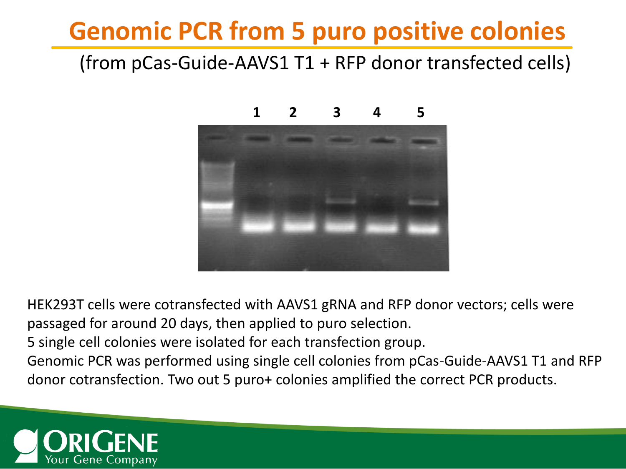### **Genomic PCR from 5 puro positive colonies**

#### (from pCas-Guide-AAVS1 T1 + RFP donor transfected cells)



#### **1 2 3 4 5**

HEK293T cells were cotransfected with AAVS1 gRNA and RFP donor vectors; cells were passaged for around 20 days, then applied to puro selection.

5 single cell colonies were isolated for each transfection group.

Genomic PCR was performed using single cell colonies from pCas-Guide-AAVS1 T1 and RFP donor cotransfection. Two out 5 puro+ colonies amplified the correct PCR products.